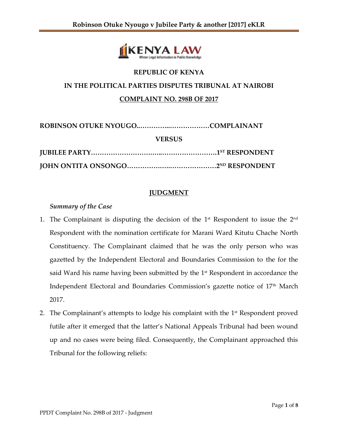

# **REPUBLIC OF KENYA IN THE POLITICAL PARTIES DISPUTES TRIBUNAL AT NAIROBI COMPLAINT NO. 298B OF 2017**

**ROBINSON OTUKE NYOUGO..…………..………………COMPLAINANT**

**VERSUS**

## **JUDGMENT**

### *Summary of the Case*

- 1. The Complainant is disputing the decision of the  $1<sup>st</sup>$  Respondent to issue the  $2<sup>nd</sup>$ Respondent with the nomination certificate for Marani Ward Kitutu Chache North Constituency. The Complainant claimed that he was the only person who was gazetted by the Independent Electoral and Boundaries Commission to the for the said Ward his name having been submitted by the  $1<sup>st</sup>$  Respondent in accordance the Independent Electoral and Boundaries Commission's gazette notice of 17<sup>th</sup> March 2017.
- 2. The Complainant's attempts to lodge his complaint with the  $1<sup>st</sup>$  Respondent proved futile after it emerged that the latter's National Appeals Tribunal had been wound up and no cases were being filed. Consequently, the Complainant approached this Tribunal for the following reliefs: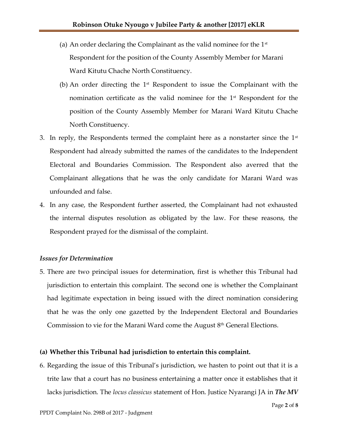- (a) An order declaring the Complainant as the valid nominee for the  $1<sup>st</sup>$ Respondent for the position of the County Assembly Member for Marani Ward Kitutu Chache North Constituency.
- (b) An order directing the  $1<sup>st</sup>$  Respondent to issue the Complainant with the nomination certificate as the valid nominee for the 1<sup>st</sup> Respondent for the position of the County Assembly Member for Marani Ward Kitutu Chache North Constituency.
- 3. In reply, the Respondents termed the complaint here as a nonstarter since the  $1<sup>st</sup>$ Respondent had already submitted the names of the candidates to the Independent Electoral and Boundaries Commission. The Respondent also averred that the Complainant allegations that he was the only candidate for Marani Ward was unfounded and false.
- 4. In any case, the Respondent further asserted, the Complainant had not exhausted the internal disputes resolution as obligated by the law. For these reasons, the Respondent prayed for the dismissal of the complaint.

#### *Issues for Determination*

5. There are two principal issues for determination, first is whether this Tribunal had jurisdiction to entertain this complaint. The second one is whether the Complainant had legitimate expectation in being issued with the direct nomination considering that he was the only one gazetted by the Independent Electoral and Boundaries Commission to vie for the Marani Ward come the August 8th General Elections.

#### **(a) Whether this Tribunal had jurisdiction to entertain this complaint.**

6. Regarding the issue of this Tribunal's jurisdiction, we hasten to point out that it is a trite law that a court has no business entertaining a matter once it establishes that it lacks jurisdiction. The *locus classicus* statement of Hon. Justice Nyarangi JA in *The MV*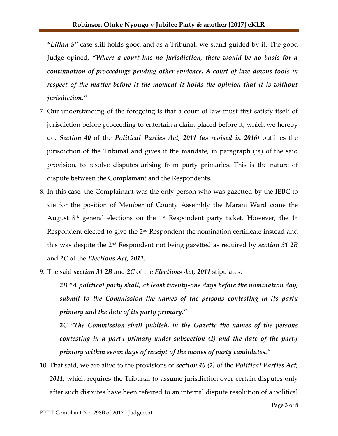*"Lilian S"* case still holds good and as a Tribunal, we stand guided by it. The good Judge opined, *"Where a court has no jurisdiction, there would be no basis for a continuation of proceedings pending other evidence. A court of law downs tools in respect of the matter before it the moment it holds the opinion that it is without jurisdiction."*

- 7. Our understanding of the foregoing is that a court of law must first satisfy itself of jurisdiction before proceeding to entertain a claim placed before it, which we hereby do. *Section 40* of the *Political Parties Act, 2011 (as revised in 2016)* outlines the jurisdiction of the Tribunal and gives it the mandate, in paragraph (fa) of the said provision, to resolve disputes arising from party primaries. This is the nature of dispute between the Complainant and the Respondents.
- 8. In this case, the Complainant was the only person who was gazetted by the IEBC to vie for the position of Member of County Assembly the Marani Ward come the August  $8<sup>th</sup>$  general elections on the 1<sup>st</sup> Respondent party ticket. However, the 1<sup>st</sup> Respondent elected to give the 2<sup>nd</sup> Respondent the nomination certificate instead and this was despite the 2nd Respondent not being gazetted as required by *section 31 2B* and *2C* of the *Elections Act, 2011.*
- 9. The said *section 31 2B* and *2C* of the *Elections Act, 2011* stipulates:

*2B "A political party shall, at least twenty-one days before the nomination day, submit to the Commission the names of the persons contesting in its party primary and the date of its party primary."*

*2C "The Commission shall publish, in the Gazette the names of the persons contesting in a party primary under subsection (1) and the date of the party primary within seven days of receipt of the names of party candidates."*

10. That said, we are alive to the provisions of *section 40 (2)* of the *Political Parties Act, 2011,* which requires the Tribunal to assume jurisdiction over certain disputes only after such disputes have been referred to an internal dispute resolution of a political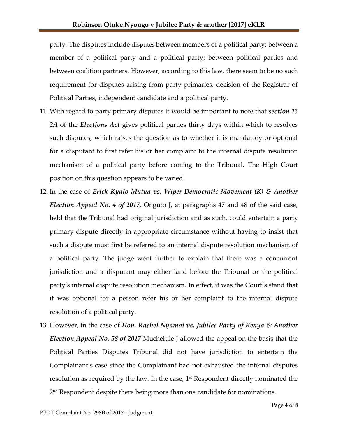party. The disputes include disputes between members of a political party; between a member of a political party and a political party; between political parties and between coalition partners. However, according to this law, there seem to be no such requirement for disputes arising from party primaries, decision of the Registrar of Political Parties, independent candidate and a political party.

- 11. With regard to party primary disputes it would be important to note that *section 13 2A* of the *Elections Act* gives political parties thirty days within which to resolves such disputes, which raises the question as to whether it is mandatory or optional for a disputant to first refer his or her complaint to the internal dispute resolution mechanism of a political party before coming to the Tribunal. The High Court position on this question appears to be varied.
- 12. In the case of *Erick Kyalo Mutua vs. Wiper Democratic Movement (K) & Another Election Appeal No. 4 of 2017,* Onguto J, at paragraphs 47 and 48 of the said case, held that the Tribunal had original jurisdiction and as such, could entertain a party primary dispute directly in appropriate circumstance without having to insist that such a dispute must first be referred to an internal dispute resolution mechanism of a political party. The judge went further to explain that there was a concurrent jurisdiction and a disputant may either land before the Tribunal or the political party's internal dispute resolution mechanism. In effect, it was the Court's stand that it was optional for a person refer his or her complaint to the internal dispute resolution of a political party.
- 13. However, in the case of *Hon. Rachel Nyamai vs. Jubilee Party of Kenya & Another Election Appeal No. 58 of 2017* Muchelule J allowed the appeal on the basis that the Political Parties Disputes Tribunal did not have jurisdiction to entertain the Complainant's case since the Complainant had not exhausted the internal disputes resolution as required by the law. In the case,  $1<sup>st</sup>$  Respondent directly nominated the 2 nd Respondent despite there being more than one candidate for nominations.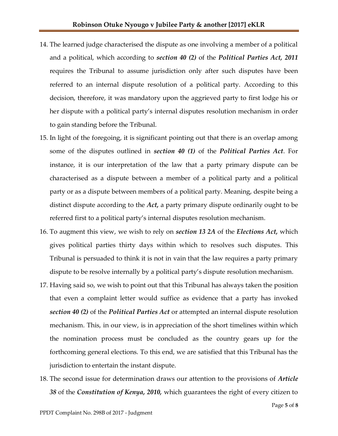- 14. The learned judge characterised the dispute as one involving a member of a political and a political, which according to *section 40 (2)* of the *Political Parties Act, 2011* requires the Tribunal to assume jurisdiction only after such disputes have been referred to an internal dispute resolution of a political party. According to this decision, therefore, it was mandatory upon the aggrieved party to first lodge his or her dispute with a political party's internal disputes resolution mechanism in order to gain standing before the Tribunal.
- 15. In light of the foregoing, it is significant pointing out that there is an overlap among some of the disputes outlined in *section 40 (1)* of the *Political Parties Act*. For instance, it is our interpretation of the law that a party primary dispute can be characterised as a dispute between a member of a political party and a political party or as a dispute between members of a political party. Meaning, despite being a distinct dispute according to the *Act,* a party primary dispute ordinarily ought to be referred first to a political party's internal disputes resolution mechanism.
- 16. To augment this view, we wish to rely on *section 13 2A* of the *Elections Act,* which gives political parties thirty days within which to resolves such disputes. This Tribunal is persuaded to think it is not in vain that the law requires a party primary dispute to be resolve internally by a political party's dispute resolution mechanism.
- 17. Having said so, we wish to point out that this Tribunal has always taken the position that even a complaint letter would suffice as evidence that a party has invoked *section 40 (2)* of the *Political Parties Act* or attempted an internal dispute resolution mechanism. This, in our view, is in appreciation of the short timelines within which the nomination process must be concluded as the country gears up for the forthcoming general elections. To this end, we are satisfied that this Tribunal has the jurisdiction to entertain the instant dispute.
- 18. The second issue for determination draws our attention to the provisions of *Article 38* of the *Constitution of Kenya, 2010,* which guarantees the right of every citizen to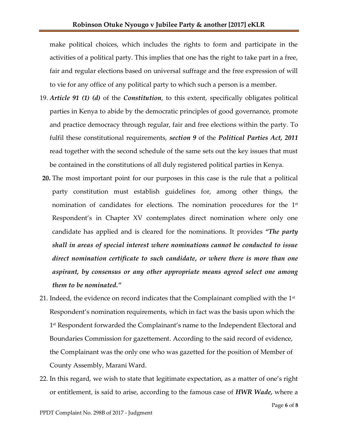make political choices, which includes the rights to form and participate in the activities of a political party. This implies that one has the right to take part in a free, fair and regular elections based on universal suffrage and the free expression of will to vie for any office of any political party to which such a person is a member.

- 19. *Article 91 (1) (d)* of the *Constitution*, to this extent, specifically obligates political parties in Kenya to abide by the democratic principles of good governance, promote and practice democracy through regular, fair and free elections within the party. To fulfil these constitutional requirements, *section 9* of the *Political Parties Act, 2011* read together with the second schedule of the same sets out the key issues that must be contained in the constitutions of all duly registered political parties in Kenya.
- **20.** The most important point for our purposes in this case is the rule that a political party constitution must establish guidelines for, among other things, the nomination of candidates for elections. The nomination procedures for the  $1<sup>st</sup>$ Respondent's in Chapter XV contemplates direct nomination where only one candidate has applied and is cleared for the nominations. It provides *"The party shall in areas of special interest where nominations cannot be conducted to issue direct nomination certificate to such candidate, or where there is more than one aspirant, by consensus or any other appropriate means agreed select one among them to be nominated."*
- 21. Indeed, the evidence on record indicates that the Complainant complied with the  $1<sup>st</sup>$ Respondent's nomination requirements, which in fact was the basis upon which the 1 st Respondent forwarded the Complainant's name to the Independent Electoral and Boundaries Commission for gazettement. According to the said record of evidence, the Complainant was the only one who was gazetted for the position of Member of County Assembly, Marani Ward.
- 22. In this regard, we wish to state that legitimate expectation, as a matter of one's right or entitlement, is said to arise, according to the famous case of *HWR Wade,* where a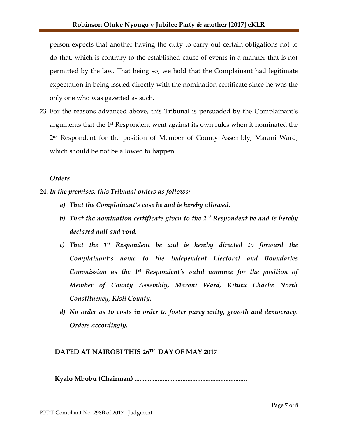person expects that another having the duty to carry out certain obligations not to do that, which is contrary to the established cause of events in a manner that is not permitted by the law. That being so, we hold that the Complainant had legitimate expectation in being issued directly with the nomination certificate since he was the only one who was gazetted as such.

23. For the reasons advanced above, this Tribunal is persuaded by the Complainant's arguments that the 1<sup>st</sup> Respondent went against its own rules when it nominated the 2 nd Respondent for the position of Member of County Assembly, Marani Ward, which should be not be allowed to happen.

#### *Orders*

- **24.** *In the premises, this Tribunal orders as follows:*
	- *a) That the Complainant's case be and is hereby allowed.*
	- b) That the nomination certificate given to the 2<sup>nd</sup> Respondent be and is hereby *declared null and void.*
	- *c) That the 1 st Respondent be and is hereby directed to forward the Complainant's name to the Independent Electoral and Boundaries Commission as the 1st Respondent's valid nominee for the position of Member of County Assembly, Marani Ward, Kitutu Chache North Constituency, Kisii County.*
	- *d) No order as to costs in order to foster party unity, growth and democracy. Orders accordingly.*

## **DATED AT NAIROBI THIS 26TH DAY OF MAY 2017**

 **Kyalo Mbobu (Chairman) ....................................................................**